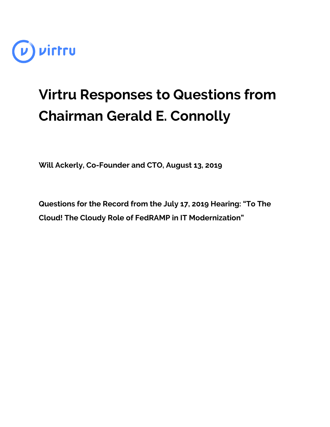

## **Virtru Responses to Questions from Chairman Gerald E. Connolly**

**Will Ackerly, Co-Founder and CTO, August 13, 2019**

**Questions for the Record from the July 17, 2019 Hearing: "To The Cloud! The Cloudy Role of FedRAMP in IT Modernization"**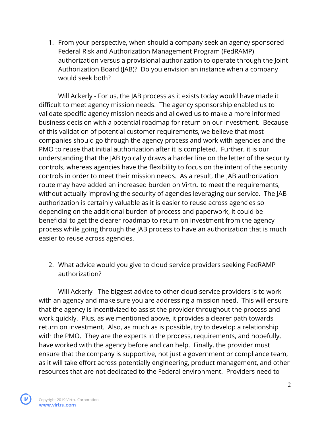1. From your perspective, when should a company seek an agency sponsored Federal Risk and Authorization Management Program (FedRAMP) authorization versus a provisional authorization to operate through the Joint Authorization Board (JAB)? Do you envision an instance when a company would seek both?

Will Ackerly - For us, the JAB process as it exists today would have made it difficult to meet agency mission needs. The agency sponsorship enabled us to validate specific agency mission needs and allowed us to make a more informed business decision with a potential roadmap for return on our investment. Because of this validation of potential customer requirements, we believe that most companies should go through the agency process and work with agencies and the PMO to reuse that initial authorization after it is completed. Further, it is our understanding that the JAB typically draws a harder line on the letter of the security controls, whereas agencies have the flexibility to focus on the intent of the security controls in order to meet their mission needs. As a result, the JAB authorization route may have added an increased burden on Virtru to meet the requirements, without actually improving the security of agencies leveraging our service. The JAB authorization is certainly valuable as it is easier to reuse across agencies so depending on the additional burden of process and paperwork, it could be beneficial to get the clearer roadmap to return on investment from the agency process while going through the JAB process to have an authorization that is much easier to reuse across agencies.

2. What advice would you give to cloud service providers seeking FedRAMP authorization?

Will Ackerly - The biggest advice to other cloud service providers is to work with an agency and make sure you are addressing a mission need. This will ensure that the agency is incentivized to assist the provider throughout the process and work quickly. Plus, as we mentioned above, it provides a clearer path towards return on investment. Also, as much as is possible, try to develop a relationship with the PMO. They are the experts in the process, requirements, and hopefully, have worked with the agency before and can help. Finally, the provider must ensure that the company is supportive, not just a government or compliance team, as it will take effort across potentially engineering, product management, and other resources that are not dedicated to the Federal environment. Providers need to